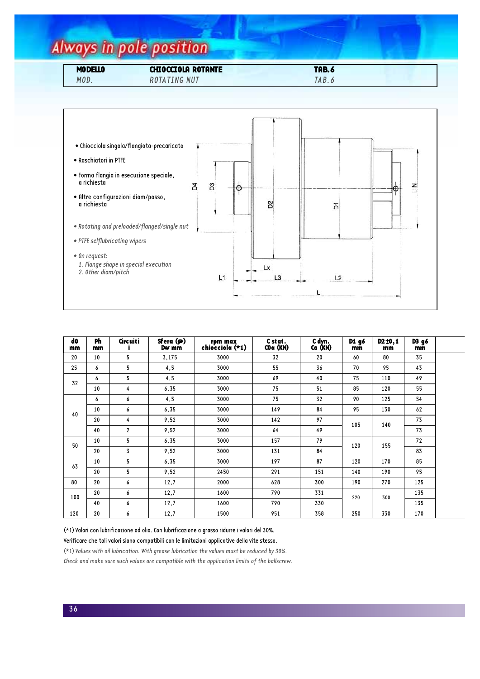## Always in pole position

| <b>MODELLO</b> | <b>CHIOCCIOLA ROTANTE</b> | <b>TAB.6</b> |  |
|----------------|---------------------------|--------------|--|
| MOD.           | <b>ROTATING NUT</b>       | TAB.c        |  |



| d <sub>0</sub><br>mm | <b>Ph</b><br>mm | <b>Circuiti</b> | Sfera (Ø)<br>Dw mm | rpm max<br>chiocciola (*1) | C stat.<br>$COa$ ( $KN$ ) | C dyn.<br>Ca (KN) | D1 g6<br>mm | D <sub>2</sub> ±0,1<br>mm | D3 g6<br>mm |  |
|----------------------|-----------------|-----------------|--------------------|----------------------------|---------------------------|-------------------|-------------|---------------------------|-------------|--|
| 20                   | 10              | 5               | 3,175              | 3000                       | 32                        | 20                | 60          | 80                        | 35          |  |
| 25                   | 6               | 5               | 4, 5               | 3000                       | 55                        | 36                | 70          | 95                        | 43          |  |
| 32                   | 6               | 5               | 4, 5               | 3000                       | 69                        | 40                | 75          | 110                       | 49          |  |
|                      | 10              | $\overline{4}$  | 6,35               | 3000                       | 75                        | 51                | 85          | 120                       | 55          |  |
| 40                   | 6               | 6               | 4, 5               | 3000                       | 75                        | 32                | 90          | 125                       | 54          |  |
|                      | 10              | 6               | 6,35               | 3000                       | 149                       | 84                | 95          | 130                       | 62          |  |
|                      | 20              | 4               | 9,52               | 3000                       | 142                       | 97                | 105         | 140                       | 73          |  |
|                      | 40              | $\mathbf{2}$    | 9,52               | 3000                       | 64                        | 49                |             |                           | 73          |  |
| 50                   | 10              | 5               | 6,35               | 3000                       | 157                       | 79                | 120         | 155                       | 72          |  |
|                      | 20              | $\overline{3}$  | 9,52               | 3000                       | 131                       | 84                |             |                           | 83          |  |
| 63                   | 10              | 5               | 6,35               | 3000                       | 197                       | 87                | 120         | 170                       | 85          |  |
|                      | 20              | 5               | 9,52               | 2450                       | 291                       | 151               | 140         | 190                       | 95          |  |
| 80                   | 20              | 6               | 12,7               | 2000                       | 628                       | 300               | 190         | 270                       | 125         |  |
| 100                  | 20              | 6               | 12,7               | 1600                       | 790                       | 331               | 220         | 300                       | 135         |  |
|                      | 40              | 6               | 12,7               | 1600                       | 790                       | 330               |             |                           | 135         |  |
| 120                  | 20              | 6               | 12,7               | 1500                       | 951                       | 358               | 250         | 330                       | 170         |  |

(\*1) Valori con lubrificazione ad olio. Con lubrificazione a grasso ridurre i valori del 30%.

Verificare che tali valori siano compatibili con le limitazioni applicative della vite stessa.

(\*1) Values with oil lubrication. With grease lubrication the values must be reduced by 30%. Check and make sure such values are compatible with the application limits of the ballscrew.